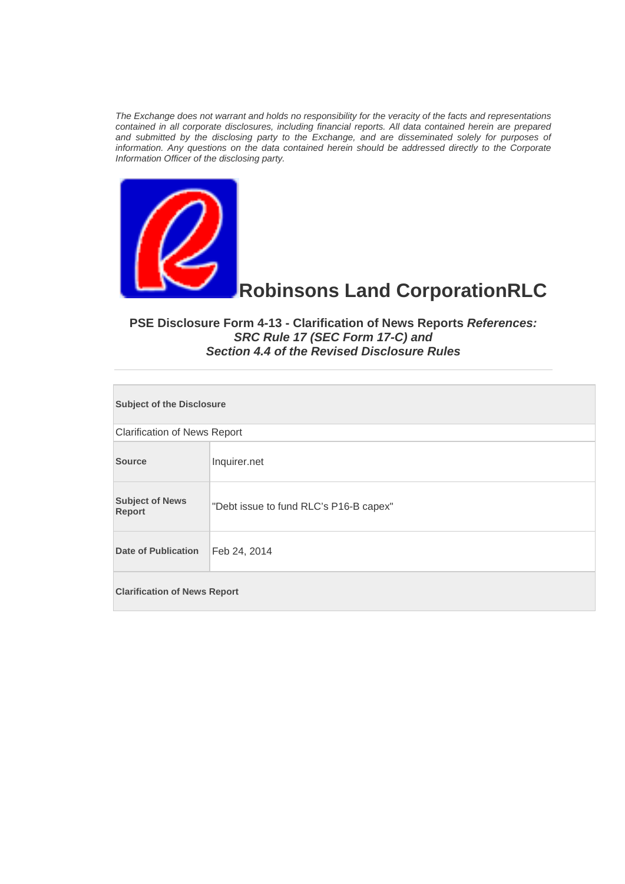*The Exchange does not warrant and holds no responsibility for the veracity of the facts and representations contained in all corporate disclosures, including financial reports. All data contained herein are prepared and submitted by the disclosing party to the Exchange, and are disseminated solely for purposes of information. Any questions on the data contained herein should be addressed directly to the Corporate Information Officer of the disclosing party.* 



## **Robinsons Land CorporationRLC**

## **PSE Disclosure Form 4-13 - Clarification of News Reports** *References: SRC Rule 17 (SEC Form 17-C) and Section 4.4 of the Revised Disclosure Rules*

| <b>Subject of the Disclosure</b>    |                                        |  |
|-------------------------------------|----------------------------------------|--|
| <b>Clarification of News Report</b> |                                        |  |
| <b>Source</b>                       | Inquirer.net                           |  |
| <b>Subject of News</b><br>Report    | "Debt issue to fund RLC's P16-B capex" |  |
| <b>Date of Publication</b>          | Feb 24, 2014                           |  |
| <b>Clarification of News Report</b> |                                        |  |